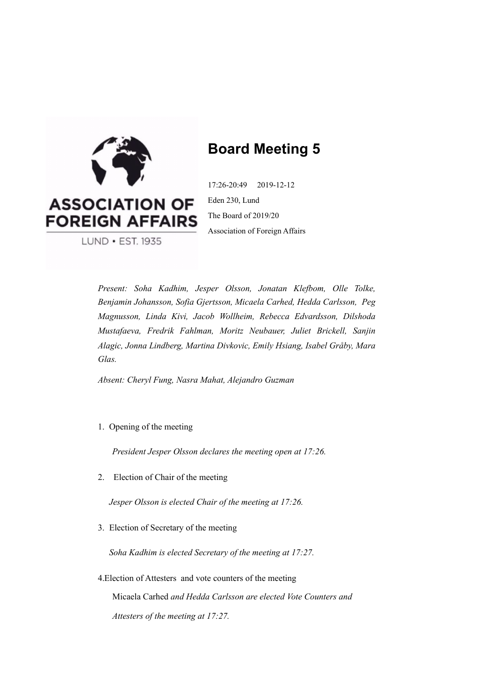

# **Board Meeting 5**

17:26-20:49 2019-12-12 Eden 230, Lund The Board of 2019/20 Association of Foreign Affairs

*Present: Soha Kadhim, Jesper Olsson, Jonatan Klefbom, Olle Tolke, Benjamin Johansson, Sofia Gjertsson, Micaela Carhed, Hedda Carlsson, Peg Magnusson, Linda Kivi, Jacob Wollheim, Rebecca Edvardsson, Dilshoda Mustafaeva, Fredrik Fahlman, Moritz Neubauer, Juliet Brickell, Sanjin Alagic, Jonna Lindberg, Martina Divkovic, Emily Hsiang, Isabel Gråby, Mara Glas.* 

*Absent: Cheryl Fung, Nasra Mahat, Alejandro Guzman* 

1. Opening of the meeting

*President Jesper Olsson declares the meeting open at 17:26.*

2. Election of Chair of the meeting

*Jesper Olsson is elected Chair of the meeting at 17:26.*

3. Election of Secretary of the meeting

*Soha Kadhim is elected Secretary of the meeting at 17:27.*

4.Election of Attesters and vote counters of the meeting Micaela Carhed *and Hedda Carlsson are elected Vote Counters and Attesters of the meeting at 17:27.*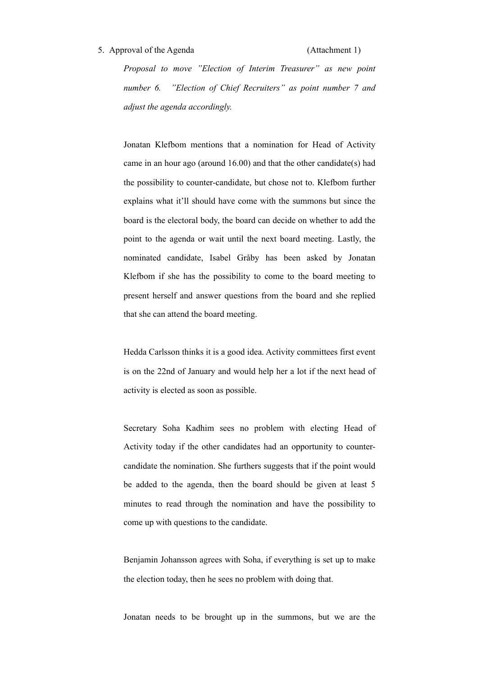#### 5. Approval of the Agenda (Attachment 1)

*Proposal to move "Election of Interim Treasurer" as new point number 6. "Election of Chief Recruiters" as point number 7 and adjust the agenda accordingly.* 

Jonatan Klefbom mentions that a nomination for Head of Activity came in an hour ago (around 16.00) and that the other candidate(s) had the possibility to counter-candidate, but chose not to. Klefbom further explains what it'll should have come with the summons but since the board is the electoral body, the board can decide on whether to add the point to the agenda or wait until the next board meeting. Lastly, the nominated candidate, Isabel Gråby has been asked by Jonatan Klefbom if she has the possibility to come to the board meeting to present herself and answer questions from the board and she replied that she can attend the board meeting.

Hedda Carlsson thinks it is a good idea. Activity committees first event is on the 22nd of January and would help her a lot if the next head of activity is elected as soon as possible.

Secretary Soha Kadhim sees no problem with electing Head of Activity today if the other candidates had an opportunity to countercandidate the nomination. She furthers suggests that if the point would be added to the agenda, then the board should be given at least 5 minutes to read through the nomination and have the possibility to come up with questions to the candidate.

Benjamin Johansson agrees with Soha, if everything is set up to make the election today, then he sees no problem with doing that.

Jonatan needs to be brought up in the summons, but we are the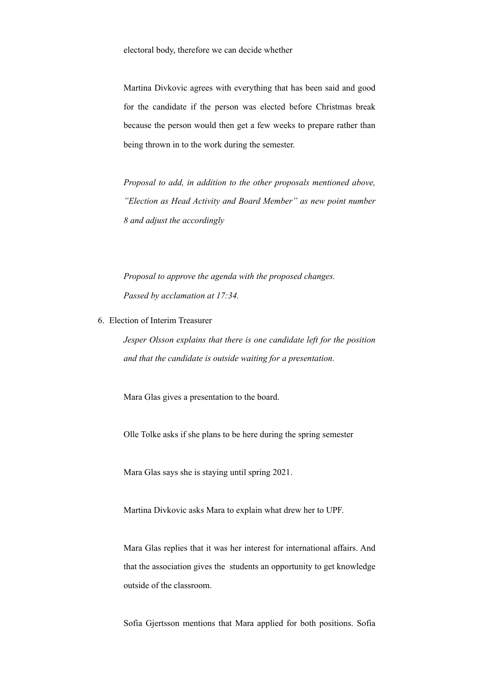Martina Divkovic agrees with everything that has been said and good for the candidate if the person was elected before Christmas break because the person would then get a few weeks to prepare rather than being thrown in to the work during the semester.

*Proposal to add, in addition to the other proposals mentioned above, "Election as Head Activity and Board Member" as new point number 8 and adjust the accordingly* 

*Proposal to approve the agenda with the proposed changes. Passed by acclamation at 17:34.* 

6. Election of Interim Treasurer

*Jesper Olsson explains that there is one candidate left for the position and that the candidate is outside waiting for a presentation.* 

Mara Glas gives a presentation to the board.

Olle Tolke asks if she plans to be here during the spring semester

Mara Glas says she is staying until spring 2021.

Martina Divkovic asks Mara to explain what drew her to UPF.

Mara Glas replies that it was her interest for international affairs. And that the association gives the students an opportunity to get knowledge outside of the classroom.

Sofia Gjertsson mentions that Mara applied for both positions. Sofia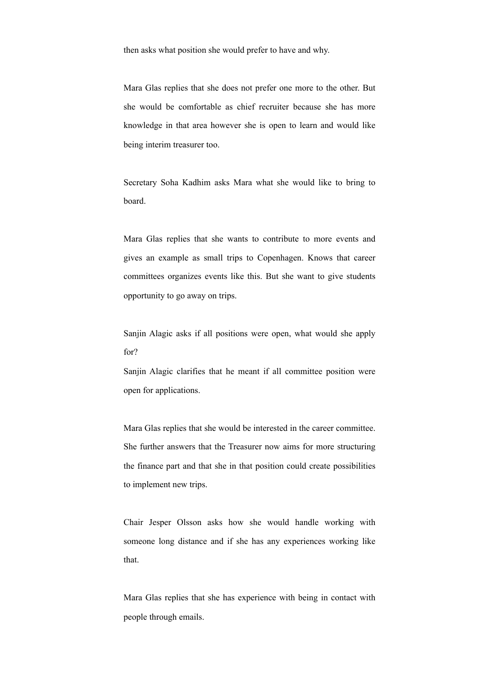then asks what position she would prefer to have and why.

Mara Glas replies that she does not prefer one more to the other. But she would be comfortable as chief recruiter because she has more knowledge in that area however she is open to learn and would like being interim treasurer too.

Secretary Soha Kadhim asks Mara what she would like to bring to board.

Mara Glas replies that she wants to contribute to more events and gives an example as small trips to Copenhagen. Knows that career committees organizes events like this. But she want to give students opportunity to go away on trips.

Sanjin Alagic asks if all positions were open, what would she apply for?

Sanjin Alagic clarifies that he meant if all committee position were open for applications.

Mara Glas replies that she would be interested in the career committee. She further answers that the Treasurer now aims for more structuring the finance part and that she in that position could create possibilities to implement new trips.

Chair Jesper Olsson asks how she would handle working with someone long distance and if she has any experiences working like that.

Mara Glas replies that she has experience with being in contact with people through emails.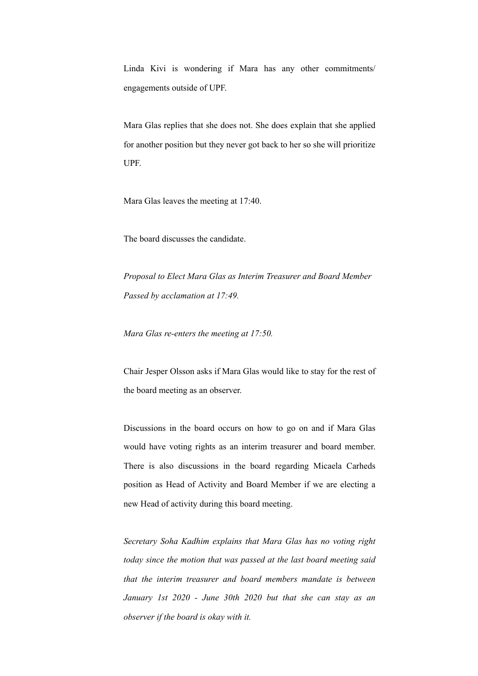Linda Kivi is wondering if Mara has any other commitments/ engagements outside of UPF.

Mara Glas replies that she does not. She does explain that she applied for another position but they never got back to her so she will prioritize UPF.

Mara Glas leaves the meeting at 17:40.

The board discusses the candidate.

*Proposal to Elect Mara Glas as Interim Treasurer and Board Member Passed by acclamation at 17:49.* 

*Mara Glas re-enters the meeting at 17:50.* 

Chair Jesper Olsson asks if Mara Glas would like to stay for the rest of the board meeting as an observer.

Discussions in the board occurs on how to go on and if Mara Glas would have voting rights as an interim treasurer and board member. There is also discussions in the board regarding Micaela Carheds position as Head of Activity and Board Member if we are electing a new Head of activity during this board meeting.

*Secretary Soha Kadhim explains that Mara Glas has no voting right today since the motion that was passed at the last board meeting said that the interim treasurer and board members mandate is between January 1st 2020 - June 30th 2020 but that she can stay as an observer if the board is okay with it.*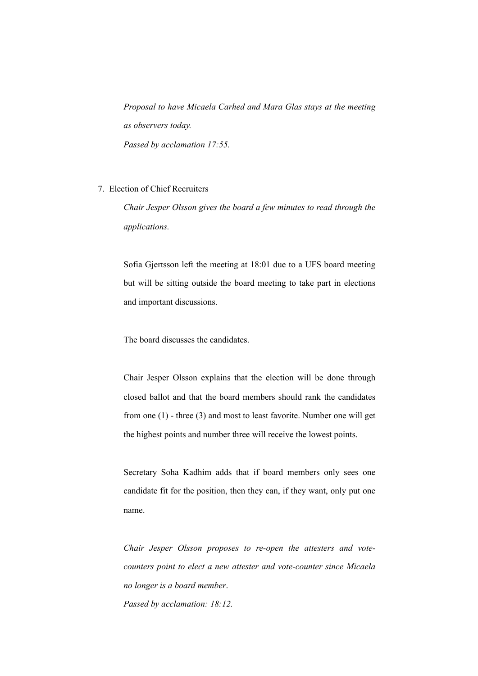*Proposal to have Micaela Carhed and Mara Glas stays at the meeting as observers today. Passed by acclamation 17:55.* 

7. Election of Chief Recruiters

*Chair Jesper Olsson gives the board a few minutes to read through the applications.* 

Sofia Gjertsson left the meeting at 18:01 due to a UFS board meeting but will be sitting outside the board meeting to take part in elections and important discussions.

The board discusses the candidates.

Chair Jesper Olsson explains that the election will be done through closed ballot and that the board members should rank the candidates from one (1) - three (3) and most to least favorite. Number one will get the highest points and number three will receive the lowest points.

Secretary Soha Kadhim adds that if board members only sees one candidate fit for the position, then they can, if they want, only put one name.

*Chair Jesper Olsson proposes to re-open the attesters and votecounters point to elect a new attester and vote-counter since Micaela no longer is a board member*. *Passed by acclamation: 18:12.*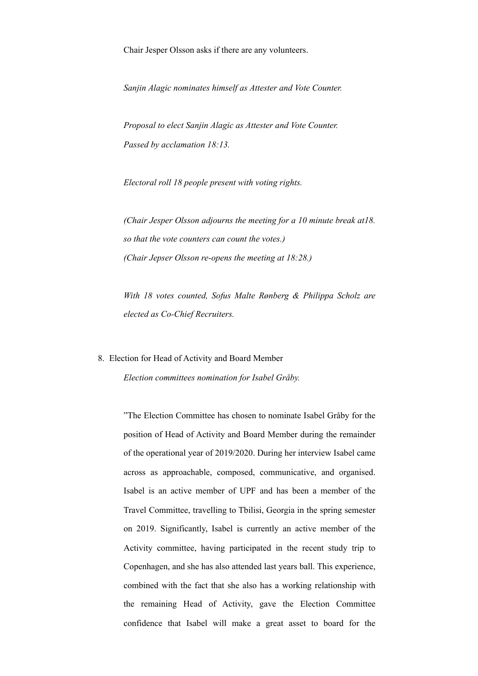Chair Jesper Olsson asks if there are any volunteers.

*Sanjin Alagic nominates himself as Attester and Vote Counter.* 

*Proposal to elect Sanjin Alagic as Attester and Vote Counter. Passed by acclamation 18:13.* 

*Electoral roll 18 people present with voting rights.* 

*(Chair Jesper Olsson adjourns the meeting for a 10 minute break at18. so that the vote counters can count the votes.) (Chair Jepser Olsson re-opens the meeting at 18:28.)*

*With 18 votes counted, [Sofus Malte Rønberg](https://www.facebook.com/sofusroenberg) & Philippa Scholz are elected as Co-Chief Recruiters.* 

# 8. Election for Head of Activity and Board Member

*Election committees nomination for Isabel Gråby.* 

"The Election Committee has chosen to nominate Isabel Gråby for the position of Head of Activity and Board Member during the remainder of the operational year of 2019/2020. During her interview Isabel came across as approachable, composed, communicative, and organised. Isabel is an active member of UPF and has been a member of the Travel Committee, travelling to Tbilisi, Georgia in the spring semester on 2019. Significantly, Isabel is currently an active member of the Activity committee, having participated in the recent study trip to Copenhagen, and she has also attended last years ball. This experience, combined with the fact that she also has a working relationship with the remaining Head of Activity, gave the Election Committee confidence that Isabel will make a great asset to board for the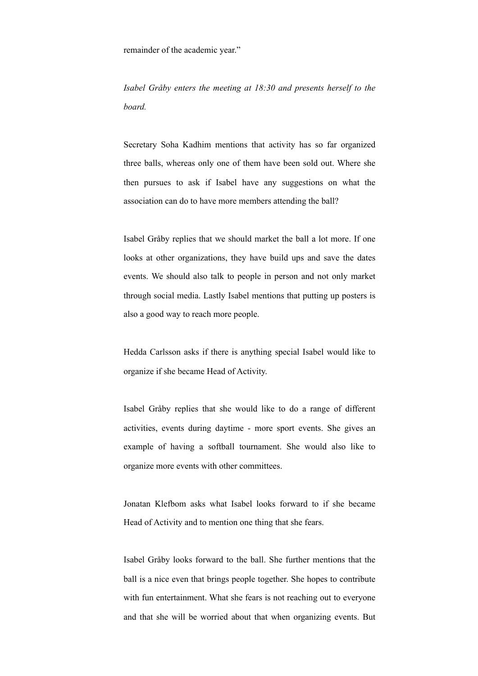remainder of the academic year."

*Isabel Gråby enters the meeting at 18:30 and presents herself to the board.* 

Secretary Soha Kadhim mentions that activity has so far organized three balls, whereas only one of them have been sold out. Where she then pursues to ask if Isabel have any suggestions on what the association can do to have more members attending the ball?

Isabel Gråby replies that we should market the ball a lot more. If one looks at other organizations, they have build ups and save the dates events. We should also talk to people in person and not only market through social media. Lastly Isabel mentions that putting up posters is also a good way to reach more people.

Hedda Carlsson asks if there is anything special Isabel would like to organize if she became Head of Activity.

Isabel Gråby replies that she would like to do a range of different activities, events during daytime - more sport events. She gives an example of having a softball tournament. She would also like to organize more events with other committees.

Jonatan Klefbom asks what Isabel looks forward to if she became Head of Activity and to mention one thing that she fears.

Isabel Gråby looks forward to the ball. She further mentions that the ball is a nice even that brings people together. She hopes to contribute with fun entertainment. What she fears is not reaching out to everyone and that she will be worried about that when organizing events. But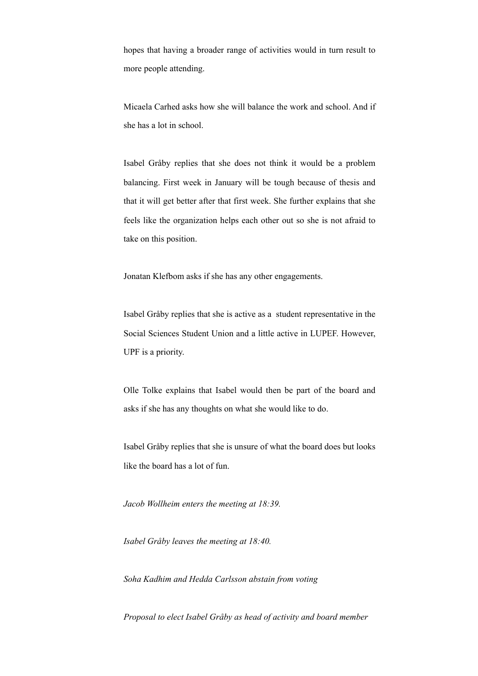hopes that having a broader range of activities would in turn result to more people attending.

Micaela Carhed asks how she will balance the work and school. And if she has a lot in school.

Isabel Gråby replies that she does not think it would be a problem balancing. First week in January will be tough because of thesis and that it will get better after that first week. She further explains that she feels like the organization helps each other out so she is not afraid to take on this position.

Jonatan Klefbom asks if she has any other engagements.

Isabel Gråby replies that she is active as a student representative in the Social Sciences Student Union and a little active in LUPEF. However, UPF is a priority.

Olle Tolke explains that Isabel would then be part of the board and asks if she has any thoughts on what she would like to do.

Isabel Gråby replies that she is unsure of what the board does but looks like the board has a lot of fun.

*Jacob Wollheim enters the meeting at 18:39.* 

*Isabel Gråby leaves the meeting at 18:40.* 

*Soha Kadhim and Hedda Carlsson abstain from voting* 

*Proposal to elect Isabel Gråby as head of activity and board member*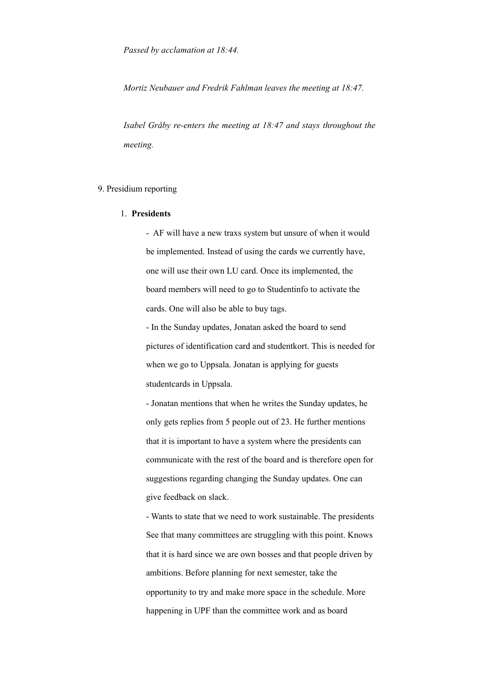*Mortiz Neubauer and Fredrik Fahlman leaves the meeting at 18:47.* 

*Isabel Gråby re-enters the meeting at 18:47 and stays throughout the meeting.* 

### 9. Presidium reporting

#### 1. **Presidents**

- AF will have a new traxs system but unsure of when it would be implemented. Instead of using the cards we currently have, one will use their own LU card. Once its implemented, the board members will need to go to Studentinfo to activate the cards. One will also be able to buy tags.

- In the Sunday updates, Jonatan asked the board to send pictures of identification card and studentkort. This is needed for when we go to Uppsala. Jonatan is applying for guests studentcards in Uppsala.

- Jonatan mentions that when he writes the Sunday updates, he only gets replies from 5 people out of 23. He further mentions that it is important to have a system where the presidents can communicate with the rest of the board and is therefore open for suggestions regarding changing the Sunday updates. One can give feedback on slack.

- Wants to state that we need to work sustainable. The presidents See that many committees are struggling with this point. Knows that it is hard since we are own bosses and that people driven by ambitions. Before planning for next semester, take the opportunity to try and make more space in the schedule. More happening in UPF than the committee work and as board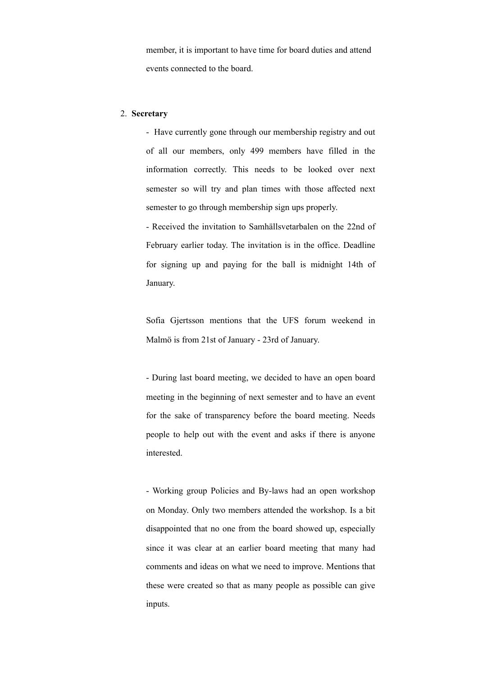member, it is important to have time for board duties and attend events connected to the board.

# 2. **Secretary**

- Have currently gone through our membership registry and out of all our members, only 499 members have filled in the information correctly. This needs to be looked over next semester so will try and plan times with those affected next semester to go through membership sign ups properly.

- Received the invitation to Samhällsvetarbalen on the 22nd of February earlier today. The invitation is in the office. Deadline for signing up and paying for the ball is midnight 14th of January.

Sofia Gjertsson mentions that the UFS forum weekend in Malmö is from 21st of January - 23rd of January.

- During last board meeting, we decided to have an open board meeting in the beginning of next semester and to have an event for the sake of transparency before the board meeting. Needs people to help out with the event and asks if there is anyone interested.

- Working group Policies and By-laws had an open workshop on Monday. Only two members attended the workshop. Is a bit disappointed that no one from the board showed up, especially since it was clear at an earlier board meeting that many had comments and ideas on what we need to improve. Mentions that these were created so that as many people as possible can give inputs.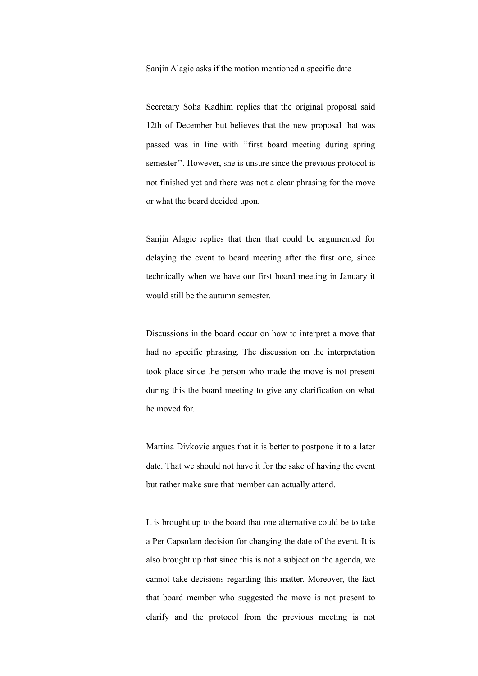Sanjin Alagic asks if the motion mentioned a specific date

Secretary Soha Kadhim replies that the original proposal said 12th of December but believes that the new proposal that was passed was in line with ''first board meeting during spring semester''. However, she is unsure since the previous protocol is not finished yet and there was not a clear phrasing for the move or what the board decided upon.

Sanjin Alagic replies that then that could be argumented for delaying the event to board meeting after the first one, since technically when we have our first board meeting in January it would still be the autumn semester.

Discussions in the board occur on how to interpret a move that had no specific phrasing. The discussion on the interpretation took place since the person who made the move is not present during this the board meeting to give any clarification on what he moved for.

Martina Divkovic argues that it is better to postpone it to a later date. That we should not have it for the sake of having the event but rather make sure that member can actually attend.

It is brought up to the board that one alternative could be to take a Per Capsulam decision for changing the date of the event. It is also brought up that since this is not a subject on the agenda, we cannot take decisions regarding this matter. Moreover, the fact that board member who suggested the move is not present to clarify and the protocol from the previous meeting is not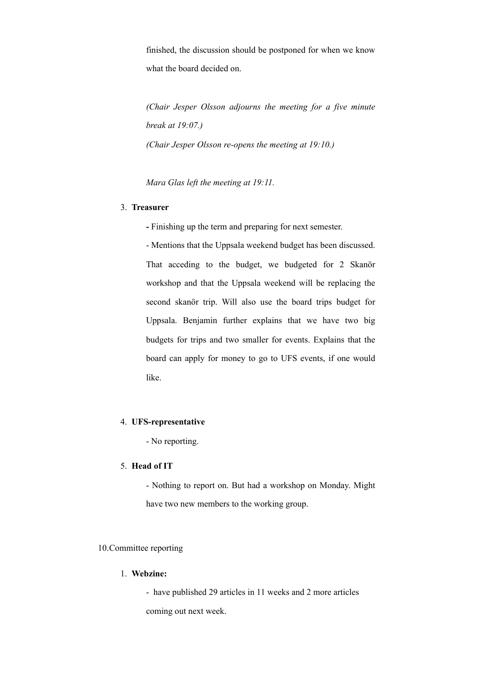finished, the discussion should be postponed for when we know what the board decided on.

*(Chair Jesper Olsson adjourns the meeting for a five minute break at 19:07.) (Chair Jesper Olsson re-opens the meeting at 19:10.)*

*Mara Glas left the meeting at 19:11.* 

# 3. **Treasurer**

**-** Finishing up the term and preparing for next semester.

- Mentions that the Uppsala weekend budget has been discussed. That acceding to the budget, we budgeted for 2 Skanör workshop and that the Uppsala weekend will be replacing the second skanör trip. Will also use the board trips budget for Uppsala. Benjamin further explains that we have two big budgets for trips and two smaller for events. Explains that the board can apply for money to go to UFS events, if one would like.

# 4. **UFS-representative**

- No reporting.

# 5. **Head of IT**

- Nothing to report on. But had a workshop on Monday. Might have two new members to the working group.

# 10.Committee reporting

# 1. **Webzine:**

- have published 29 articles in 11 weeks and 2 more articles coming out next week.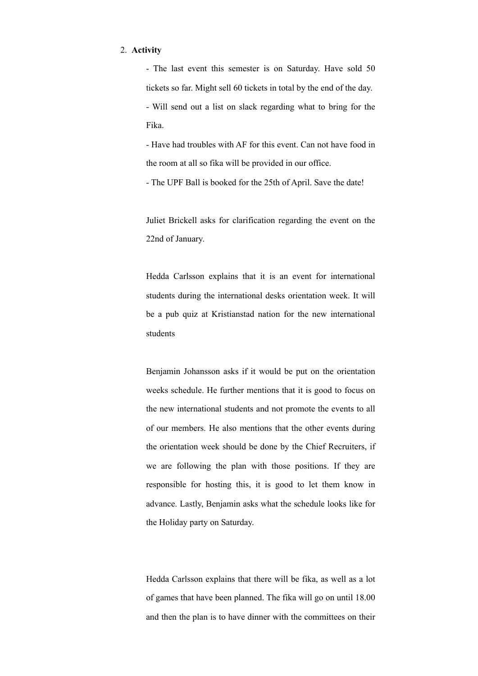### 2. **Activity**

- The last event this semester is on Saturday. Have sold 50 tickets so far. Might sell 60 tickets in total by the end of the day. - Will send out a list on slack regarding what to bring for the Fika.

- Have had troubles with AF for this event. Can not have food in the room at all so fika will be provided in our office.

- The UPF Ball is booked for the 25th of April. Save the date!

Juliet Brickell asks for clarification regarding the event on the 22nd of January.

Hedda Carlsson explains that it is an event for international students during the international desks orientation week. It will be a pub quiz at Kristianstad nation for the new international students

Benjamin Johansson asks if it would be put on the orientation weeks schedule. He further mentions that it is good to focus on the new international students and not promote the events to all of our members. He also mentions that the other events during the orientation week should be done by the Chief Recruiters, if we are following the plan with those positions. If they are responsible for hosting this, it is good to let them know in advance. Lastly, Benjamin asks what the schedule looks like for the Holiday party on Saturday.

Hedda Carlsson explains that there will be fika, as well as a lot of games that have been planned. The fika will go on until 18.00 and then the plan is to have dinner with the committees on their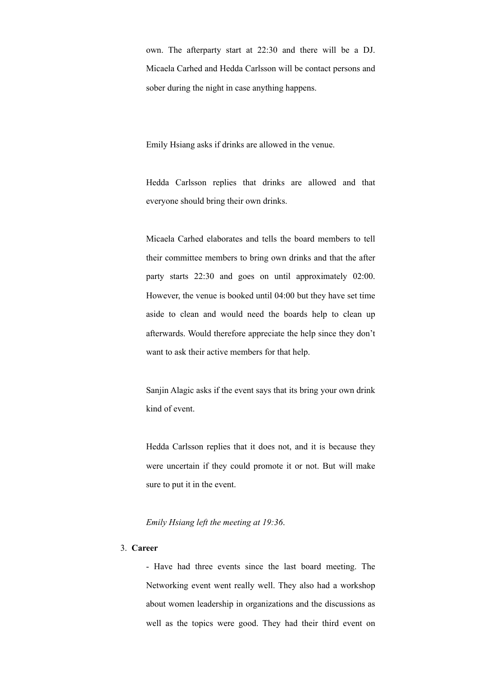own. The afterparty start at 22:30 and there will be a DJ. Micaela Carhed and Hedda Carlsson will be contact persons and sober during the night in case anything happens.

Emily Hsiang asks if drinks are allowed in the venue.

Hedda Carlsson replies that drinks are allowed and that everyone should bring their own drinks.

Micaela Carhed elaborates and tells the board members to tell their committee members to bring own drinks and that the after party starts 22:30 and goes on until approximately 02:00. However, the venue is booked until 04:00 but they have set time aside to clean and would need the boards help to clean up afterwards. Would therefore appreciate the help since they don't want to ask their active members for that help.

Sanjin Alagic asks if the event says that its bring your own drink kind of event.

Hedda Carlsson replies that it does not, and it is because they were uncertain if they could promote it or not. But will make sure to put it in the event.

*Emily Hsiang left the meeting at 19:36*.

# 3. **Career**

- Have had three events since the last board meeting. The Networking event went really well. They also had a workshop about women leadership in organizations and the discussions as well as the topics were good. They had their third event on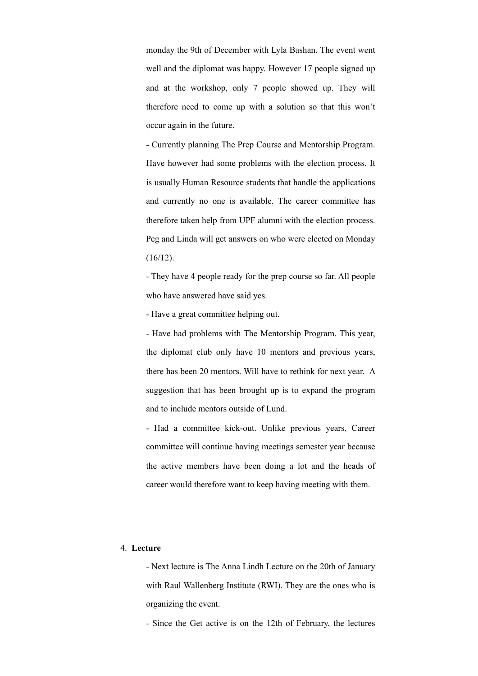monday the 9th of December with Lyla Bashan. The event went well and the diplomat was happy. However 17 people signed up and at the workshop, only 7 people showed up. They will therefore need to come up with a solution so that this won't occur again in the future.

- Currently planning The Prep Course and Mentorship Program. Have however had some problems with the election process. It is usually Human Resource students that handle the applications and currently no one is available. The career committee has therefore taken help from UPF alumni with the election process. Peg and Linda will get answers on who were elected on Monday  $(16/12)$ .

- They have 4 people ready for the prep course so far. All people who have answered have said yes.

- Have a great committee helping out.

- Have had problems with The Mentorship Program. This year, the diplomat club only have 10 mentors and previous years, there has been 20 mentors. Will have to rethink for next year. A suggestion that has been brought up is to expand the program and to include mentors outside of Lund.

- Had a committee kick-out. Unlike previous years, Career committee will continue having meetings semester year because the active members have been doing a lot and the heads of career would therefore want to keep having meeting with them.

### 4. **Lecture**

- Next lecture is The Anna Lindh Lecture on the 20th of January with Raul Wallenberg Institute (RWI). They are the ones who is organizing the event.

- Since the Get active is on the 12th of February, the lectures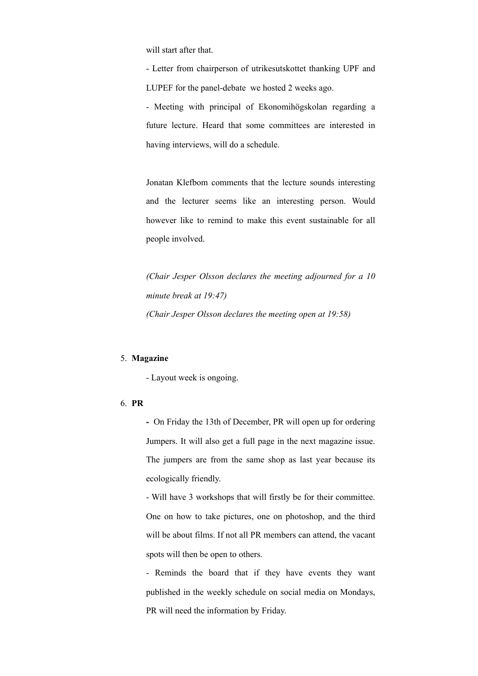will start after that.

- Letter from chairperson of utrikesutskottet thanking UPF and LUPEF for the panel-debate we hosted 2 weeks ago.

- Meeting with principal of Ekonomihögskolan regarding a future lecture. Heard that some committees are interested in having interviews, will do a schedule.

Jonatan Klefbom comments that the lecture sounds interesting and the lecturer seems like an interesting person. Would however like to remind to make this event sustainable for all people involved.

*(Chair Jesper Olsson declares the meeting adjourned for a 10 minute break at 19:47) (Chair Jesper Olsson declares the meeting open at 19:58)*

#### 5. **Magazine**

- Layout week is ongoing.

# 6. **PR**

**-** On Friday the 13th of December, PR will open up for ordering Jumpers. It will also get a full page in the next magazine issue. The jumpers are from the same shop as last year because its ecologically friendly.

- Will have 3 workshops that will firstly be for their committee. One on how to take pictures, one on photoshop, and the third will be about films. If not all PR members can attend, the vacant spots will then be open to others.

- Reminds the board that if they have events they want published in the weekly schedule on social media on Mondays, PR will need the information by Friday.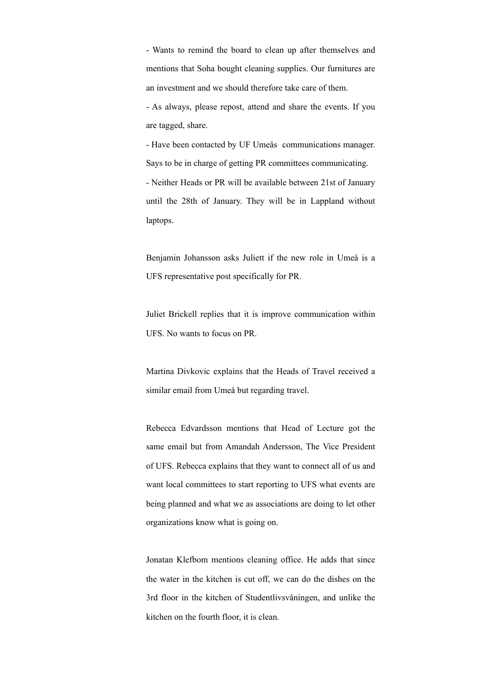- Wants to remind the board to clean up after themselves and mentions that Soha bought cleaning supplies. Our furnitures are an investment and we should therefore take care of them.

- As always, please repost, attend and share the events. If you are tagged, share.

- Have been contacted by UF Umeås communications manager. Says to be in charge of getting PR committees communicating. - Neither Heads or PR will be available between 21st of January until the 28th of January. They will be in Lappland without laptops.

Benjamin Johansson asks Juliett if the new role in Umeå is a UFS representative post specifically for PR.

Juliet Brickell replies that it is improve communication within UFS. No wants to focus on PR.

Martina Divkovic explains that the Heads of Travel received a similar email from Umeå but regarding travel.

Rebecca Edvardsson mentions that Head of Lecture got the same email but from Amandah Andersson, The Vice President of UFS. Rebecca explains that they want to connect all of us and want local committees to start reporting to UFS what events are being planned and what we as associations are doing to let other organizations know what is going on.

Jonatan Klefbom mentions cleaning office. He adds that since the water in the kitchen is cut off, we can do the dishes on the 3rd floor in the kitchen of Studentlivsvåningen, and unlike the kitchen on the fourth floor, it is clean.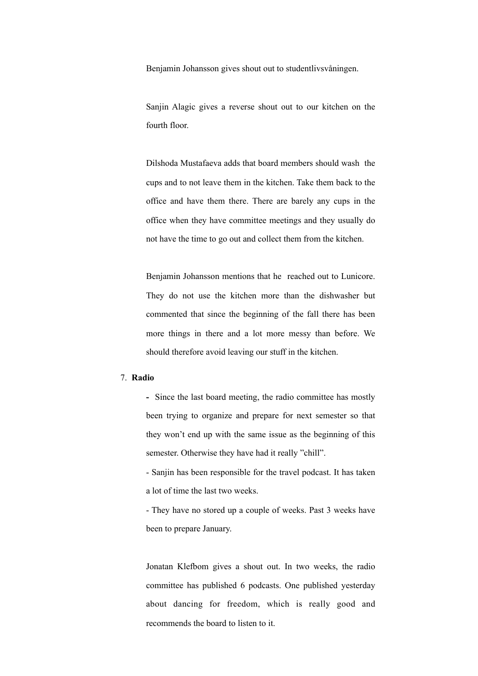Benjamin Johansson gives shout out to studentlivsvåningen.

Sanjin Alagic gives a reverse shout out to our kitchen on the fourth floor.

Dilshoda Mustafaeva adds that board members should wash the cups and to not leave them in the kitchen. Take them back to the office and have them there. There are barely any cups in the office when they have committee meetings and they usually do not have the time to go out and collect them from the kitchen.

Benjamin Johansson mentions that he reached out to Lunicore. They do not use the kitchen more than the dishwasher but commented that since the beginning of the fall there has been more things in there and a lot more messy than before. We should therefore avoid leaving our stuff in the kitchen.

#### 7. **Radio**

**-** Since the last board meeting, the radio committee has mostly been trying to organize and prepare for next semester so that they won't end up with the same issue as the beginning of this semester. Otherwise they have had it really "chill".

- Sanjin has been responsible for the travel podcast. It has taken a lot of time the last two weeks.

- They have no stored up a couple of weeks. Past 3 weeks have been to prepare January.

Jonatan Klefbom gives a shout out. In two weeks, the radio committee has published 6 podcasts. One published yesterday about dancing for freedom, which is really good and recommends the board to listen to it.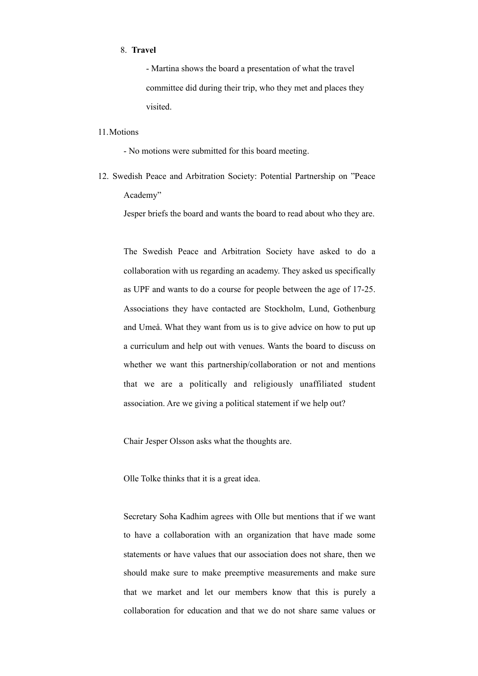#### 8. **Travel**

- Martina shows the board a presentation of what the travel committee did during their trip, who they met and places they visited.

#### 11.Motions

- No motions were submitted for this board meeting.

12. Swedish Peace and Arbitration Society: Potential Partnership on "Peace Academy"

Jesper briefs the board and wants the board to read about who they are.

The Swedish Peace and Arbitration Society have asked to do a collaboration with us regarding an academy. They asked us specifically as UPF and wants to do a course for people between the age of 17-25. Associations they have contacted are Stockholm, Lund, Gothenburg and Umeå. What they want from us is to give advice on how to put up a curriculum and help out with venues. Wants the board to discuss on whether we want this partnership/collaboration or not and mentions that we are a politically and religiously unaffiliated student association. Are we giving a political statement if we help out?

Chair Jesper Olsson asks what the thoughts are.

Olle Tolke thinks that it is a great idea.

Secretary Soha Kadhim agrees with Olle but mentions that if we want to have a collaboration with an organization that have made some statements or have values that our association does not share, then we should make sure to make preemptive measurements and make sure that we market and let our members know that this is purely a collaboration for education and that we do not share same values or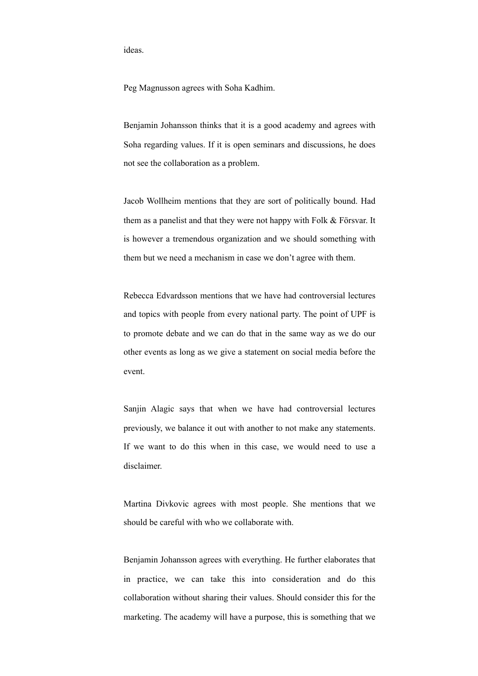ideas.

Peg Magnusson agrees with Soha Kadhim.

Benjamin Johansson thinks that it is a good academy and agrees with Soha regarding values. If it is open seminars and discussions, he does not see the collaboration as a problem.

Jacob Wollheim mentions that they are sort of politically bound. Had them as a panelist and that they were not happy with Folk & Försvar. It is however a tremendous organization and we should something with them but we need a mechanism in case we don't agree with them.

Rebecca Edvardsson mentions that we have had controversial lectures and topics with people from every national party. The point of UPF is to promote debate and we can do that in the same way as we do our other events as long as we give a statement on social media before the event.

Sanjin Alagic says that when we have had controversial lectures previously, we balance it out with another to not make any statements. If we want to do this when in this case, we would need to use a disclaimer.

Martina Divkovic agrees with most people. She mentions that we should be careful with who we collaborate with.

Benjamin Johansson agrees with everything. He further elaborates that in practice, we can take this into consideration and do this collaboration without sharing their values. Should consider this for the marketing. The academy will have a purpose, this is something that we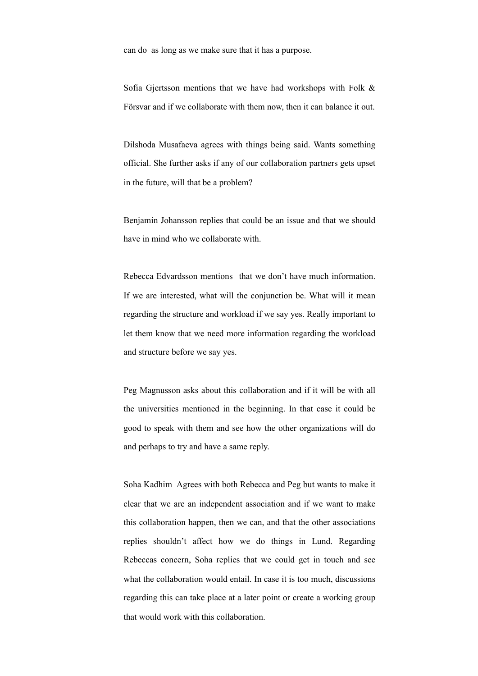can do as long as we make sure that it has a purpose.

Sofia Gjertsson mentions that we have had workshops with Folk & Försvar and if we collaborate with them now, then it can balance it out.

Dilshoda Musafaeva agrees with things being said. Wants something official. She further asks if any of our collaboration partners gets upset in the future, will that be a problem?

Benjamin Johansson replies that could be an issue and that we should have in mind who we collaborate with.

Rebecca Edvardsson mentions that we don't have much information. If we are interested, what will the conjunction be. What will it mean regarding the structure and workload if we say yes. Really important to let them know that we need more information regarding the workload and structure before we say yes.

Peg Magnusson asks about this collaboration and if it will be with all the universities mentioned in the beginning. In that case it could be good to speak with them and see how the other organizations will do and perhaps to try and have a same reply.

Soha Kadhim Agrees with both Rebecca and Peg but wants to make it clear that we are an independent association and if we want to make this collaboration happen, then we can, and that the other associations replies shouldn't affect how we do things in Lund. Regarding Rebeccas concern, Soha replies that we could get in touch and see what the collaboration would entail. In case it is too much, discussions regarding this can take place at a later point or create a working group that would work with this collaboration.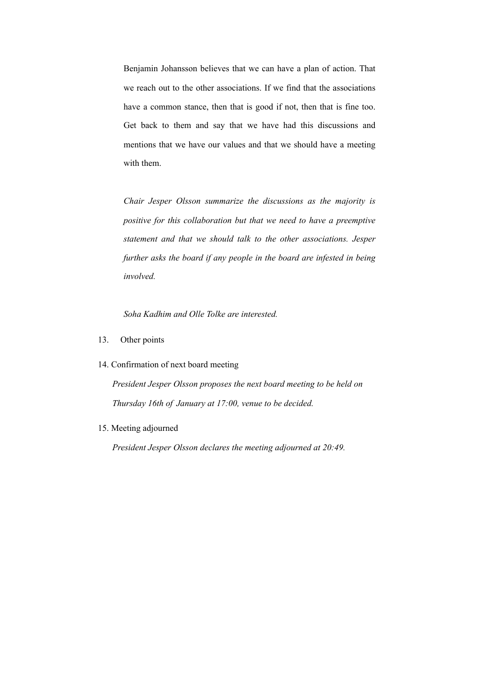Benjamin Johansson believes that we can have a plan of action. That we reach out to the other associations. If we find that the associations have a common stance, then that is good if not, then that is fine too. Get back to them and say that we have had this discussions and mentions that we have our values and that we should have a meeting with them.

*Chair Jesper Olsson summarize the discussions as the majority is positive for this collaboration but that we need to have a preemptive statement and that we should talk to the other associations. Jesper further asks the board if any people in the board are infested in being involved.* 

*Soha Kadhim and Olle Tolke are interested.* 

- 13. Other points
- 14. Confirmation of next board meeting

*President Jesper Olsson proposes the next board meeting to be held on Thursday 16th of January at 17:00, venue to be decided.* 

15. Meeting adjourned

*President Jesper Olsson declares the meeting adjourned at 20:49.*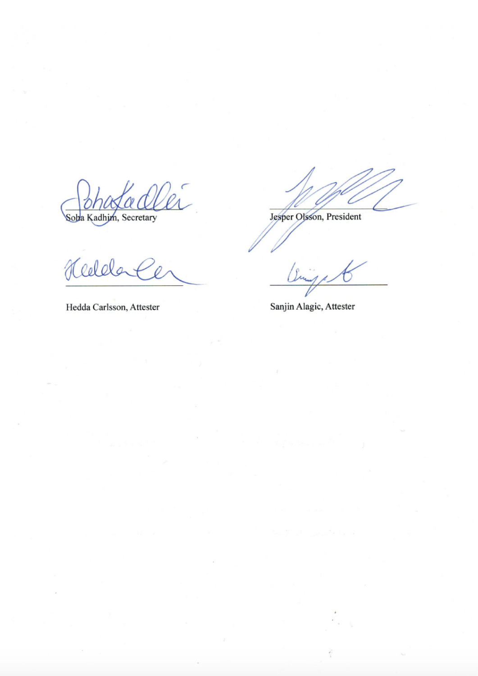$\varphi_{\lambda}^{c}$ Soba Kadhim, Secretary

Reddal

Hedda Carlsson, Attester

Jesper Olsson, President

1g

Sanjin Alagic, Attester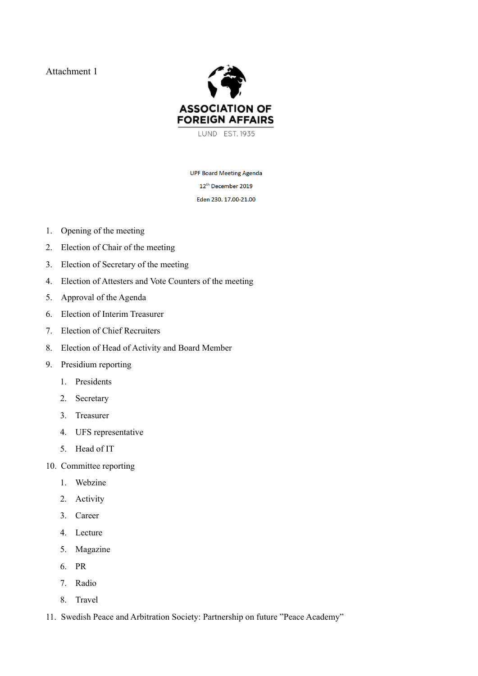Attachment 1



**UPF Board Meeting Agenda** 12<sup>th</sup> December 2019 Eden 230. 17.00-21.00

- 1. Opening of the meeting
- 2. Election of Chair of the meeting
- 3. Election of Secretary of the meeting
- 4. Election of Attesters and Vote Counters of the meeting
- 5. Approval of the Agenda
- 6. Election of Interim Treasurer
- 7. Election of Chief Recruiters
- 8. Election of Head of Activity and Board Member
- 9. Presidium reporting
	- 1. Presidents
	- 2. Secretary
	- 3. Treasurer
	- 4. UFS representative
	- 5. Head of IT
- 10. Committee reporting
	- 1. Webzine
	- 2. Activity
	- 3. Career
	- 4. Lecture
	- 5. Magazine
	- 6. PR
	- 7. Radio
	- 8. Travel
- 11. Swedish Peace and Arbitration Society: Partnership on future "Peace Academy"